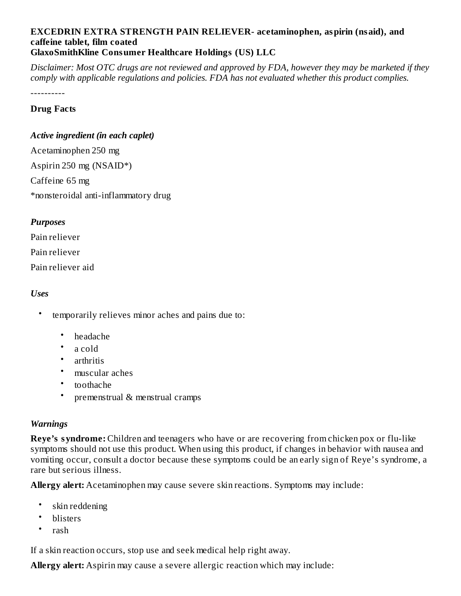#### **EXCEDRIN EXTRA STRENGTH PAIN RELIEVER- acetaminophen, aspirin (nsaid), and caffeine tablet, film coated GlaxoSmithKline Consumer Healthcare Holdings (US) LLC**

Disclaimer: Most OTC drugs are not reviewed and approved by FDA, however they may be marketed if they *comply with applicable regulations and policies. FDA has not evaluated whether this product complies.*

----------

#### **Drug Facts**

#### *Active ingredient (in each caplet)*

Acetaminophen 250 mg Aspirin 250 mg (NSAID\*) Caffeine 65 mg \*nonsteroidal anti-inflammatory drug

#### *Purposes*

Pain reliever Pain reliever Pain reliever aid

#### *Uses*

- temporarily relieves minor aches and pains due to:
	- headache
	- a cold
	- arthritis
	- muscular aches
	- toothache
	- premenstrual & menstrual cramps

#### *Warnings*

**Reye's syndrome:** Children and teenagers who have or are recovering from chicken pox or flu-like symptoms should not use this product. When using this product, if changes in behavior with nausea and vomiting occur, consult a doctor because these symptoms could be an early sign of Reye's syndrome, a rare but serious illness.

**Allergy alert:** Acetaminophen may cause severe skin reactions. Symptoms may include:

- skin reddening
- blisters
- rash

If a skin reaction occurs, stop use and seek medical help right away.

**Allergy alert:** Aspirin may cause a severe allergic reaction which may include: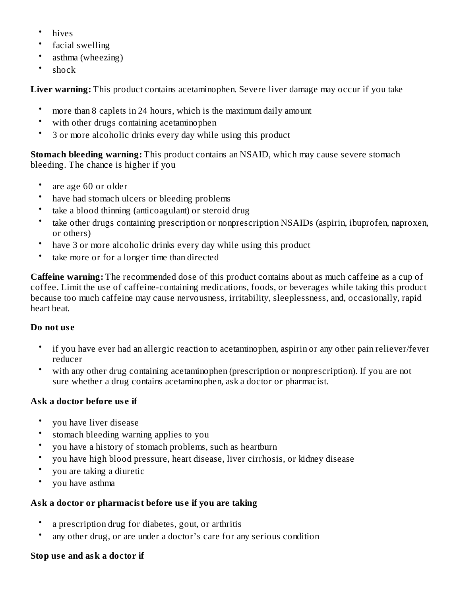- hives
- facial swelling
- asthma (wheezing)
- shock

**Liver warning:** This product contains acetaminophen. Severe liver damage may occur if you take

- more than 8 caplets in 24 hours, which is the maximum daily amount
- with other drugs containing acetaminophen
- 3 or more alcoholic drinks every day while using this product

**Stomach bleeding warning:** This product contains an NSAID, which may cause severe stomach bleeding. The chance is higher if you

- are age 60 or older
- have had stomach ulcers or bleeding problems
- take a blood thinning (anticoagulant) or steroid drug
- take other drugs containing prescription or nonprescription NSAIDs (aspirin, ibuprofen, naproxen, or others)
- have 3 or more alcoholic drinks every day while using this product
- take more or for a longer time than directed

**Caffeine warning:** The recommended dose of this product contains about as much caffeine as a cup of coffee. Limit the use of caffeine-containing medications, foods, or beverages while taking this product because too much caffeine may cause nervousness, irritability, sleeplessness, and, occasionally, rapid heart beat.

# **Do not us e**

- if you have ever had an allergic reaction to acetaminophen, aspirin or any other pain reliever/fever reducer
- with any other drug containing acetaminophen (prescription or nonprescription). If you are not sure whether a drug contains acetaminophen, ask a doctor or pharmacist.

# **Ask a doctor before us e if**

- you have liver disease
- stomach bleeding warning applies to you
- you have a history of stomach problems, such as heartburn
- you have high blood pressure, heart disease, liver cirrhosis, or kidney disease
- you are taking a diuretic
- you have asthma

# **Ask a doctor or pharmacist before us e if you are taking**

- a prescription drug for diabetes, gout, or arthritis
- any other drug, or are under a doctor's care for any serious condition

# **Stop us e and ask a doctor if**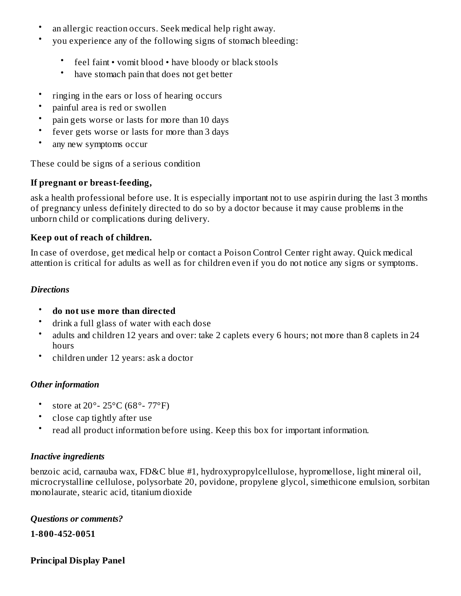- an allergic reaction occurs. Seek medical help right away.
- you experience any of the following signs of stomach bleeding:
	- feel faint • vomit blood • have bloody or black stools
	- have stomach pain that does not get better
- ringing in the ears or loss of hearing occurs
- painful area is red or swollen
- pain gets worse or lasts for more than 10 days
- fever gets worse or lasts for more than 3 days
- any new symptoms occur

These could be signs of a serious condition

## **If pregnant or breast-feeding,**

ask a health professional before use. It is especially important not to use aspirin during the last 3 months of pregnancy unless definitely directed to do so by a doctor because it may cause problems in the unborn child or complications during delivery.

## **Keep out of reach of children.**

In case of overdose, get medical help or contact a Poison Control Center right away. Quick medical attention is critical for adults as well as for children even if you do not notice any signs or symptoms.

## *Directions*

- **do not us e more than directed**
- drink a full glass of water with each dose
- adults and children 12 years and over: take 2 caplets every 6 hours; not more than 8 caplets in 24 hours
- children under 12 years: ask a doctor

## *Other information*

- store at 20°- 25°C (68°- 77°F)
- close cap tightly after use
- read all product information before using. Keep this box for important information.

## *Inactive ingredients*

benzoic acid, carnauba wax, FD&C blue #1, hydroxypropylcellulose, hypromellose, light mineral oil, microcrystalline cellulose, polysorbate 20, povidone, propylene glycol, simethicone emulsion, sorbitan monolaurate, stearic acid, titanium dioxide

## *Questions or comments?*

**1-800-452-0051**

## **Principal Display Panel**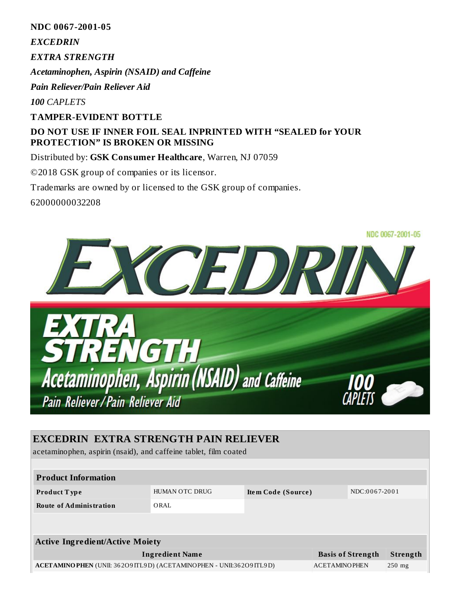**NDC 0067-2001-05**

*EXCEDRIN*

*EXTRA STRENGTH*

*Acetaminophen, Aspirin (NSAID) and Caffeine*

*Pain Reliever/Pain Reliever Aid*

*100 CAPLETS*

#### **TAMPER-EVIDENT BOTTLE**

## **DO NOT USE IF INNER FOIL SEAL INPRINTED WITH "SEALED for YOUR PROTECTION" IS BROKEN OR MISSING**

#### Distributed by: **GSK Consumer Healthcare**, Warren, NJ 07059

©2018 GSK group of companies or its licensor.

Trademarks are owned by or licensed to the GSK group of companies.

62000000032208



# **EXCEDRIN EXTRA STRENGTH PAIN RELIEVER**

acetaminophen, aspirin (nsaid), and caffeine tablet, film coated

| <b>Product Information</b>                                                  |                        |                    |                      |                          |                 |
|-----------------------------------------------------------------------------|------------------------|--------------------|----------------------|--------------------------|-----------------|
| Product Type                                                                | <b>HUMAN OTC DRUG</b>  | Item Code (Source) |                      | NDC:0067-2001            |                 |
| <b>Route of Administration</b>                                              | ORAL                   |                    |                      |                          |                 |
|                                                                             |                        |                    |                      |                          |                 |
| <b>Active Ingredient/Active Moiety</b>                                      |                        |                    |                      |                          |                 |
|                                                                             | <b>Ingredient Name</b> |                    |                      | <b>Basis of Strength</b> | <b>Strength</b> |
| <b>ACETAMINO PHEN</b> (UNII: 362O9ITL9D) (ACETAMINO PHEN - UNII:362O9ITL9D) |                        |                    | <b>ACETAMINOPHEN</b> |                          | $250$ mg        |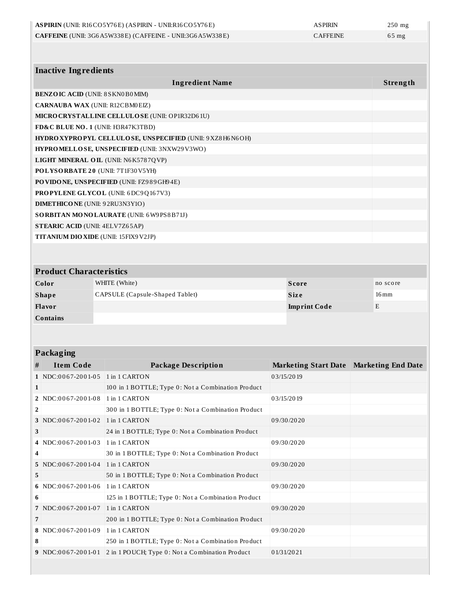|                                         | ASPIRIN (UNII: R16CO5Y76E) (ASPIRIN - UNII:R16CO5Y76E)       | <b>ASPIRIN</b>  | $250$ mg           |  |
|-----------------------------------------|--------------------------------------------------------------|-----------------|--------------------|--|
|                                         | CAFFEINE (UNII: 3G6A5W338E) (CAFFEINE - UNII:3G6A5W338E)     | <b>CAFFEINE</b> | $65$ mg            |  |
|                                         |                                                              |                 |                    |  |
| <b>Inactive Ingredients</b>             |                                                              |                 |                    |  |
|                                         | <b>Ingredient Name</b>                                       |                 | Strength           |  |
| <b>BENZOIC ACID (UNII: 8 SKN0B0MIM)</b> |                                                              |                 |                    |  |
| <b>CARNAUBA WAX (UNII: R12CBM0EIZ)</b>  |                                                              |                 |                    |  |
|                                         | MICRO CRYSTALLINE CELLULO SE (UNII: OP1R32D61U)              |                 |                    |  |
|                                         | FD&C BLUE NO. 1 (UNII: H3R47K3TBD)                           |                 |                    |  |
|                                         | HYDRO XYPROPYL CELLULOSE, UNSPECIFIED (UNII: 9 XZ8 H6 N6 OH) |                 |                    |  |
|                                         | HYPROMELLOSE, UNSPECIFIED (UNII: 3NXW29V3WO)                 |                 |                    |  |
| LIGHT MINERAL OIL (UNII: N6K5787QVP)    |                                                              |                 |                    |  |
| POLYSORBATE 20 (UNII: 7T1F30V5YH)       |                                                              |                 |                    |  |
|                                         | PO VIDONE, UNSPECIFIED (UNII: FZ989GH94E)                    |                 |                    |  |
| PROPYLENE GLYCOL (UNII: 6DC9Q167V3)     |                                                              |                 |                    |  |
| <b>DIMETHICONE</b> (UNII: 92RU3N3Y1O)   |                                                              |                 |                    |  |
| SORBITAN MONOLAURATE (UNII: 6W9PS8B71J) |                                                              |                 |                    |  |
|                                         | <b>STEARIC ACID (UNII: 4ELV7Z65AP)</b>                       |                 |                    |  |
|                                         | TITANIUM DIO XIDE (UNII: 15FIX9V2JP)                         |                 |                    |  |
|                                         |                                                              |                 |                    |  |
| <b>Product Characteristics</b>          |                                                              |                 |                    |  |
| Color                                   | WHITE (White)                                                | <b>Score</b>    | no score           |  |
| <b>Shape</b>                            | CAPSULE (Capsule-Shaped Tablet)                              | <b>Size</b>     | $16 \,\mathrm{mm}$ |  |

| <b>Shape</b>    | CAPSULE (Capsule-Shaped Tablet) | <b>Size</b>         | $16 \,\mathrm{mm}$ |
|-----------------|---------------------------------|---------------------|--------------------|
| Flavor          |                                 | <b>Imprint Code</b> |                    |
| <b>Contains</b> |                                 |                     |                    |

## **Packaging**

|                | ר---                 |                                                    |                                           |  |
|----------------|----------------------|----------------------------------------------------|-------------------------------------------|--|
| #              | <b>Item Code</b>     | <b>Package Description</b>                         | Marketing Start Date   Marketing End Date |  |
|                | 1 NDC:0067-2001-05   | 1 in 1 CARTON                                      | 03/15/2019                                |  |
| 1              |                      | 100 in 1 BOTTLE; Type 0: Not a Combination Product |                                           |  |
|                | 2 NDC:0067-2001-08   | 1 in 1 CARTON                                      | 03/15/2019                                |  |
| $\overline{2}$ |                      | 300 in 1 BOTTLE; Type 0: Not a Combination Product |                                           |  |
|                | 3 NDC:0067-2001-02   | 1 in 1 CARTON                                      | 09/30/2020                                |  |
| 3              |                      | 24 in 1 BOTTLE; Type 0: Not a Combination Product  |                                           |  |
|                | 4 NDC:0067-2001-03   | 1 in 1 CARTON                                      | 09/30/2020                                |  |
| 4              |                      | 30 in 1 BOTTLE; Type 0: Not a Combination Product  |                                           |  |
|                | 5 NDC:0067-2001-04   | 1 in 1 CARTON                                      | 09/30/2020                                |  |
| 5              |                      | 50 in 1 BOTTLE; Type 0: Not a Combination Product  |                                           |  |
|                | 6 NDC:0067-2001-06   | 1 in 1 CARTON                                      | 09/30/2020                                |  |
| 6              |                      | 125 in 1 BOTTLE; Type 0: Not a Combination Product |                                           |  |
|                | 7 NDC:0067-2001-07   | 1 in 1 CARTON                                      | 09/30/2020                                |  |
| 7              |                      | 200 in 1 BOTTLE; Type 0: Not a Combination Product |                                           |  |
|                | 8 NDC:0067-2001-09   | 1 in 1 CARTON                                      | 09/30/2020                                |  |
| 8              |                      | 250 in 1 BOTTLE; Type 0: Not a Combination Product |                                           |  |
|                | $9$ NDC:0067-2001-01 | 2 in 1 POUCH; Type 0: Not a Combination Product    | 01/31/2021                                |  |
|                |                      |                                                    |                                           |  |